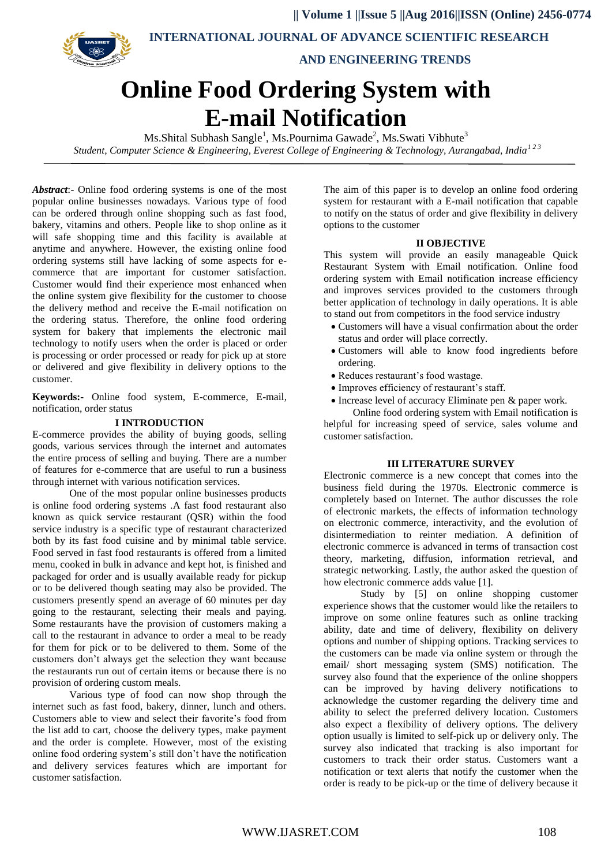**|| Volume 1 ||Issue 5 ||Aug 2016||ISSN (Online) 2456-0774**



 **INTERNATIONAL JOURNAL OF ADVANCE SCIENTIFIC RESEARCH** 

 **AND ENGINEERING TRENDS**

# **Online Food Ordering System with E-mail Notification**

Ms.Shital Subhash Sangle<sup>1</sup>, Ms.Pournima Gawade<sup>2</sup>, Ms.Swati Vibhute<sup>3</sup> *Student, Computer Science & Engineering, Everest College of Engineering & Technology, Aurangabad, India1 2 3*

*Abstract*:- Online food ordering systems is one of the most popular online businesses nowadays. Various type of food can be ordered through online shopping such as fast food, bakery, vitamins and others. People like to shop online as it will safe shopping time and this facility is available at anytime and anywhere. However, the existing online food ordering systems still have lacking of some aspects for ecommerce that are important for customer satisfaction. Customer would find their experience most enhanced when the online system give flexibility for the customer to choose the delivery method and receive the E-mail notification on the ordering status. Therefore, the online food ordering system for bakery that implements the electronic mail technology to notify users when the order is placed or order is processing or order processed or ready for pick up at store or delivered and give flexibility in delivery options to the customer.

**Keywords:-** Online food system, E-commerce, E-mail, notification, order status

# **I INTRODUCTION**

E-commerce provides the ability of buying goods, selling goods, various services through the internet and automates the entire process of selling and buying. There are a number of features for e-commerce that are useful to run a business through internet with various notification services.

One of the most popular online businesses products is online food ordering systems .A fast food restaurant also known as quick service restaurant (QSR) within the food service industry is a specific type of restaurant characterized both by its fast food cuisine and by minimal table service. Food served in fast food restaurants is offered from a limited menu, cooked in bulk in advance and kept hot, is finished and packaged for order and is usually available ready for pickup or to be delivered though seating may also be provided. The customers presently spend an average of 60 minutes per day going to the restaurant, selecting their meals and paying. Some restaurants have the provision of customers making a call to the restaurant in advance to order a meal to be ready for them for pick or to be delivered to them. Some of the customers don't always get the selection they want because the restaurants run out of certain items or because there is no provision of ordering custom meals.

Various type of food can now shop through the internet such as fast food, bakery, dinner, lunch and others. Customers able to view and select their favorite's food from the list add to cart, choose the delivery types, make payment and the order is complete. However, most of the existing online food ordering system's still don't have the notification and delivery services features which are important for customer satisfaction.

The aim of this paper is to develop an online food ordering system for restaurant with a E-mail notification that capable to notify on the status of order and give flexibility in delivery options to the customer

#### **II OBJECTIVE**

This system will provide an easily manageable Quick Restaurant System with Email notification. Online food ordering system with Email notification increase efficiency and improves services provided to the customers through better application of technology in daily operations. It is able to stand out from competitors in the food service industry

- Customers will have a visual confirmation about the order status and order will place correctly.
- Customers will able to know food ingredients before ordering.
- Reduces restaurant's food wastage.
- Improves efficiency of restaurant's staff.
- Increase level of accuracy Eliminate pen & paper work.

Online food ordering system with Email notification is helpful for increasing speed of service, sales volume and customer satisfaction.

#### **III LITERATURE SURVEY**

Electronic commerce is a new concept that comes into the business field during the 1970s. Electronic commerce is completely based on Internet. The author discusses the role of electronic markets, the effects of information technology on electronic commerce, interactivity, and the evolution of disintermediation to reinter mediation. A definition of electronic commerce is advanced in terms of transaction cost theory, marketing, diffusion, information retrieval, and strategic networking. Lastly, the author asked the question of how electronic commerce adds value [1].

Study by [5] on online shopping customer experience shows that the customer would like the retailers to improve on some online features such as online tracking ability, date and time of delivery, flexibility on delivery options and number of shipping options. Tracking services to the customers can be made via online system or through the email/ short messaging system (SMS) notification. The survey also found that the experience of the online shoppers can be improved by having delivery notifications to acknowledge the customer regarding the delivery time and ability to select the preferred delivery location. Customers also expect a flexibility of delivery options. The delivery option usually is limited to self-pick up or delivery only. The survey also indicated that tracking is also important for customers to track their order status. Customers want a notification or text alerts that notify the customer when the order is ready to be pick-up or the time of delivery because it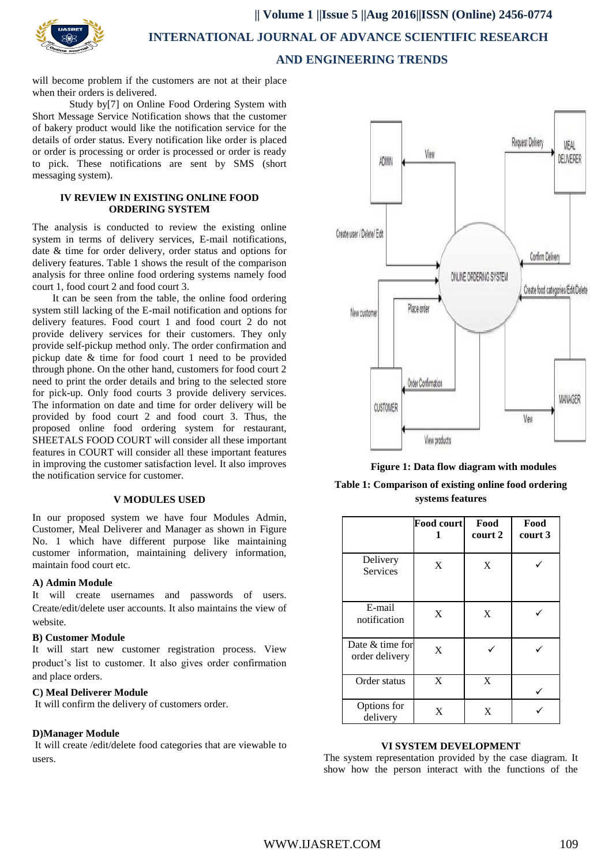

# **|| Volume 1 ||Issue 5 ||Aug 2016||ISSN (Online) 2456-0774 INTERNATIONAL JOURNAL OF ADVANCE SCIENTIFIC RESEARCH AND ENGINEERING TRENDS**

will become problem if the customers are not at their place when their orders is delivered.

Study by[7] on Online Food Ordering System with Short Message Service Notification shows that the customer of bakery product would like the notification service for the details of order status. Every notification like order is placed or order is processing or order is processed or order is ready to pick. These notifications are sent by SMS (short messaging system).

#### **IV REVIEW IN EXISTING ONLINE FOOD ORDERING SYSTEM**

The analysis is conducted to review the existing online system in terms of delivery services, E-mail notifications, date & time for order delivery, order status and options for delivery features. Table 1 shows the result of the comparison analysis for three online food ordering systems namely food court 1, food court 2 and food court 3.

It can be seen from the table, the online food ordering system still lacking of the E-mail notification and options for delivery features. Food court 1 and food court 2 do not provide delivery services for their customers. They only provide self-pickup method only. The order confirmation and pickup date & time for food court 1 need to be provided through phone. On the other hand, customers for food court 2 need to print the order details and bring to the selected store for pick-up. Only food courts 3 provide delivery services. The information on date and time for order delivery will be provided by food court 2 and food court 3. Thus, the proposed online food ordering system for restaurant, SHEETALS FOOD COURT will consider all these important features in COURT will consider all these important features in improving the customer satisfaction level. It also improves the notification service for customer.

#### **V MODULES USED**

In our proposed system we have four Modules Admin, Customer, Meal Deliverer and Manager as shown in Figure No. 1 which have different purpose like maintaining customer information, maintaining delivery information, maintain food court etc.

# **A) Admin Module**

It will create usernames and passwords of users. Create/edit/delete user accounts. It also maintains the view of website.

# **B) Customer Module**

It will start new customer registration process. View product's list to customer. It also gives order confirmation and place orders.

# **C) Meal Deliverer Module**

It will confirm the delivery of customers order.

# **D)Manager Module**

It will create /edit/delete food categories that are viewable to users.



 **Figure 1: Data flow diagram with modules**

**Table 1: Comparison of existing online food ordering systems features**

|                                   | <b>Food court</b> | Food<br>court 2 | Food<br>court 3 |
|-----------------------------------|-------------------|-----------------|-----------------|
| Delivery<br><b>Services</b>       | X                 | X               |                 |
| E-mail<br>notification            | X                 | X               |                 |
| Date & time for<br>order delivery | X                 |                 |                 |
| Order status                      | X                 | X               |                 |
| Options for<br>delivery           | X                 | X               |                 |

#### **VI SYSTEM DEVELOPMENT**

The system representation provided by the case diagram. It show how the person interact with the functions of the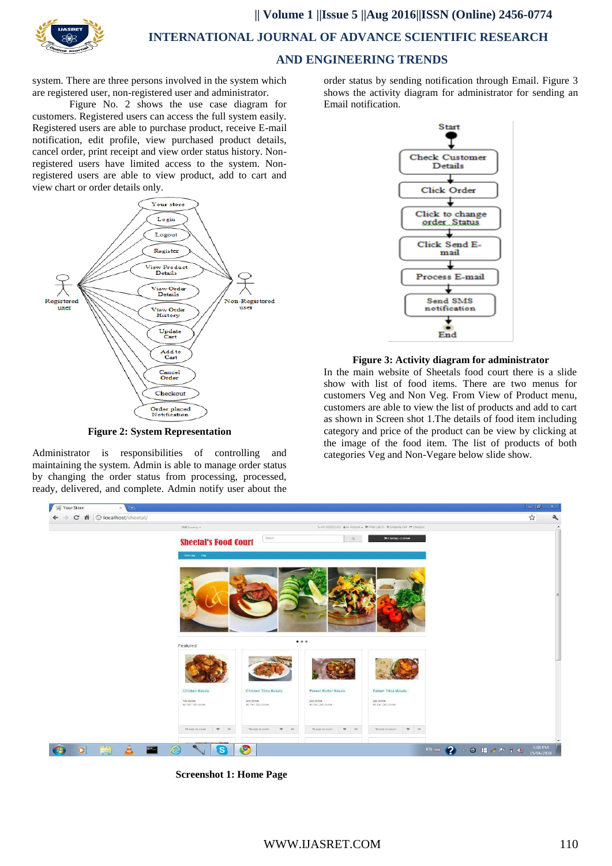

**|| Volume 1 ||Issue 5 ||Aug 2016||ISSN (Online) 2456-0774**

 **INTERNATIONAL JOURNAL OF ADVANCE SCIENTIFIC RESEARCH** 

# **AND ENGINEERING TRENDS**

system. There are three persons involved in the system which are registered user, non-registered user and administrator.

Figure No. 2 shows the use case diagram for customers. Registered users can access the full system easily. Registered users are able to purchase product, receive E-mail notification, edit profile, view purchased product details, cancel order, print receipt and view order status history. Nonregistered users have limited access to the system. Nonregistered users are able to view product, add to cart and view chart or order details only.



**Figure 2: System Representation**

Administrator is responsibilities of controlling and maintaining the system. Admin is able to manage order status by changing the order status from processing, processed, ready, delivered, and complete. Admin notify user about the

order status by sending notification through Email. Figure 3 shows the activity diagram for administrator for sending an Email notification.



#### **Figure 3: Activity diagram for administrator**

In the main website of Sheetals food court there is a slide show with list of food items. There are two menus for customers Veg and Non Veg. From View of Product menu, customers are able to view the list of products and add to cart as shown in Screen shot 1.The details of food item including category and price of the product can be view by clicking at the image of the food item. The list of products of both categories Veg and Non-Vegare below slide show.



**Screenshot 1: Home Page**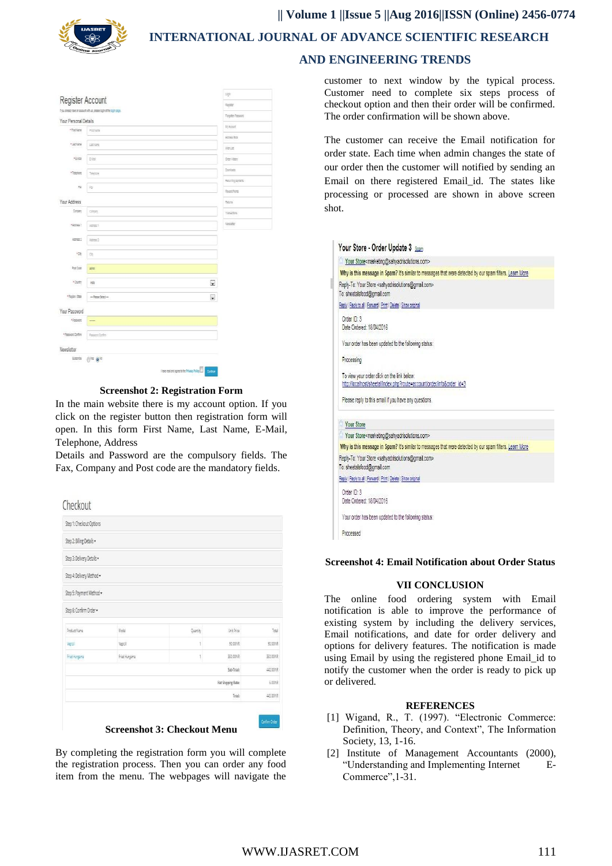

**|| Volume 1 ||Issue 5 ||Aug 2016||ISSN (Online) 2456-0774**

 **INTERNATIONAL JOURNAL OF ADVANCE SCIENTIFIC RESEARCH** 

# Register Account Your Personal Details Arrest Ave  $\frac{1}{2}$ wele  $\frac{1}{2}$ E Sprenting of  $\overline{a}$ Your Addres **September**  $\overline{3}$ bette  $\overline{\phantom{a}}$ **FOUR**  $\sim$  $\overline{\phantom{a}}$ **Clarica** One Your Passwo Newslette Sische  $f(1)$ Tei  $f(2)$ **The amendment property the Drive**

**Screenshot 2: Registration Form**

In the main website there is my account option. If you click on the register button then registration form will open. In this form First Name, Last Name, E-Mail, Telephone, Address

Details and Password are the compulsory fields. The Fax, Company and Post code are the mandatory fields.



By completing the registration form you will complete the registration process. Then you can order any food item from the menu. The webpages will navigate the

# **AND ENGINEERING TRENDS**

customer to next window by the typical process. Customer need to complete six steps process of checkout option and then their order will be confirmed. The order confirmation will be shown above.

The customer can receive the Email notification for order state. Each time when admin changes the state of our order then the customer will notified by sending an Email on there registered Email\_id. The states like processing or processed are shown in above screen shot.

| Your Store <marketing@sahyadrisolutions.com></marketing@sahyadrisolutions.com>                                                                        |                                                                                                          |
|-------------------------------------------------------------------------------------------------------------------------------------------------------|----------------------------------------------------------------------------------------------------------|
|                                                                                                                                                       | Why is this message in Spam? It's similar to messages that were detected by our spam filters. Learn More |
| Reply-To: Your Store <sahyadrisolutions@gmail.com><br/>To: sheetalsfood@gmail.com</sahyadrisolutions@gmail.com>                                       |                                                                                                          |
| Reply   Reply to all   Forward   Print   Delete   Show original                                                                                       |                                                                                                          |
| Order ID: 3<br>Date Ordered: 18/04/2016                                                                                                               |                                                                                                          |
| Your order has been updated to the following status:                                                                                                  |                                                                                                          |
| Processing                                                                                                                                            |                                                                                                          |
| To view your order click on the link below:                                                                                                           | http://localhost/sheetal/index.php?route=account/order/infoℴ_id=3                                        |
| Please reply to this email if you have any questions.                                                                                                 |                                                                                                          |
| Your Store                                                                                                                                            |                                                                                                          |
| Your Store <marketing@sahyadrisolutions.com></marketing@sahyadrisolutions.com>                                                                        |                                                                                                          |
|                                                                                                                                                       | Why is this message in Spam? It's similar to messages that were detected by our spam filters. Learn More |
| Reply-To: Your Store <sahyadrisolutions@gmail.com></sahyadrisolutions@gmail.com>                                                                      |                                                                                                          |
|                                                                                                                                                       |                                                                                                          |
|                                                                                                                                                       |                                                                                                          |
| Order ID: 3<br>Date Ordered: 18/04/2016                                                                                                               |                                                                                                          |
| To: sheetalsfood@gmail.com<br>Reply   Reply to all   Forward   Print   Delete   Show original<br>Your order has been updated to the following status: |                                                                                                          |

#### **Screenshot 4: Email Notification about Order Status**

#### **VII CONCLUSION**

The online food ordering system with Email notification is able to improve the performance of existing system by including the delivery services, Email notifications, and date for order delivery and options for delivery features. The notification is made using Email by using the registered phone Email\_id to notify the customer when the order is ready to pick up or delivered*.*

#### **REFERENCES**

- [1] Wigand, R., T. (1997). "Electronic Commerce: Definition, Theory, and Context", The Information Society, 13, 1-16.
- [2] Institute of Management Accountants (2000), "Understanding and Implementing Internet E-Commerce",1-31.